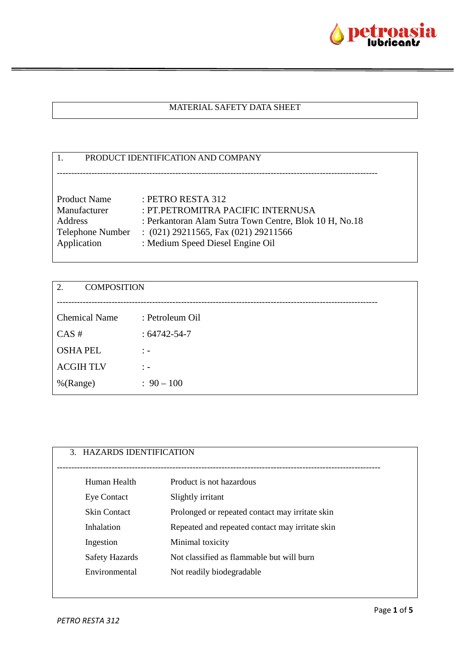

## MATERIAL SAFETY DATA SHEET

| PRODUCT IDENTIFICATION AND COMPANY |                                                        |
|------------------------------------|--------------------------------------------------------|
|                                    |                                                        |
|                                    |                                                        |
| <b>Product Name</b>                | : PETRO RESTA 312                                      |
| Manufacturer                       | : PT.PETROMITRA PACIFIC INTERNUSA                      |
| Address                            | : Perkantoran Alam Sutra Town Centre, Blok 10 H, No.18 |
| <b>Telephone Number</b>            | $(021)$ 29211565, Fax $(021)$ 29211566                 |
| Application                        | : Medium Speed Diesel Engine Oil                       |
|                                    |                                                        |

| <b>COMPOSITION</b><br>2. |                                  |
|--------------------------|----------------------------------|
|                          |                                  |
| <b>Chemical Name</b>     | : Petroleum Oil                  |
| CAS#                     | $: 64742 - 54 - 7$               |
| <b>OSHAPEL</b>           | $\ddot{ }$ $\ddot{ }$ $\ddot{ }$ |
| <b>ACGIHTLV</b>          | $\ddot{ }$ $\ddot{ }$ $\ddot{ }$ |
| %(Range)                 | $: 90 - 100$                     |

| 3. HAZARDS IDENTIFICATION |                                                 |
|---------------------------|-------------------------------------------------|
| Human Health              | Product is not hazardous                        |
| <b>Eye Contact</b>        | Slightly irritant                               |
| <b>Skin Contact</b>       | Prolonged or repeated contact may irritate skin |
| Inhalation                | Repeated and repeated contact may irritate skin |
| Ingestion                 | Minimal toxicity                                |
| <b>Safety Hazards</b>     | Not classified as flammable but will burn       |
| Environmental             | Not readily biodegradable                       |
|                           |                                                 |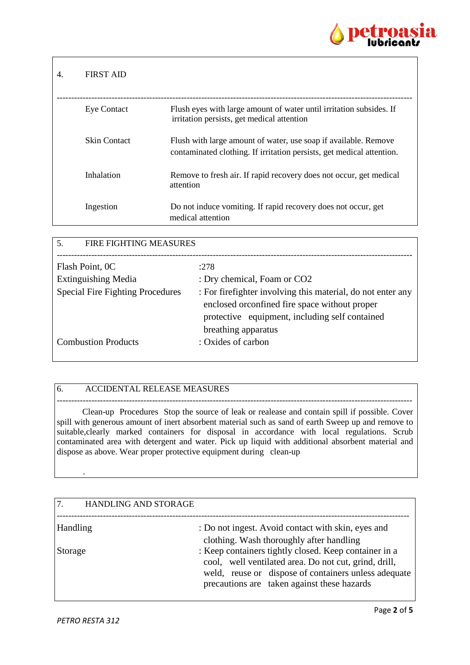

## 4. FIRST AID --------------------------------------------------------------------------------------------------------------------------- Eye Contact Flush eyes with large amount of water until irritation subsides. If irritation persists, get medical attention Skin Contact Flush with large amount of water, use soap if available. Remove contaminated clothing. If irritation persists, get medical attention. Inhalation Remove to fresh air. If rapid recovery does not occur, get medical attention Ingestion Do not induce vomiting. If rapid recovery does not occur, get medical attention

| FIRE FIGHTING MEASURES<br>5.            |                                                                                                               |
|-----------------------------------------|---------------------------------------------------------------------------------------------------------------|
|                                         |                                                                                                               |
| Flash Point, OC                         | :278                                                                                                          |
| <b>Extinguishing Media</b>              | : Dry chemical, Foam or CO2                                                                                   |
| <b>Special Fire Fighting Procedures</b> | : For firefighter involving this material, do not enter any<br>enclosed or confined fire space without proper |
|                                         | protective equipment, including self contained                                                                |
|                                         | breathing apparatus                                                                                           |
| <b>Combustion Products</b>              | : Oxides of carbon                                                                                            |
|                                         |                                                                                                               |

## 6. ACCIDENTAL RELEASE MEASURES

 Clean-up Procedures Stop the source of leak or realease and contain spill if possible. Cover spill with generous amount of inert absorbent material such as sand of earth Sweep up and remove to suitable,clearly marked containers for disposal in accordance with local regulations. Scrub contaminated area with detergent and water. Pick up liquid with additional absorbent material and dispose as above. Wear proper protective equipment during clean-up

---------------------------------------------------------------------------------------------------------------------------

| 7 <sub>1</sub><br><b>HANDLING AND STORAGE</b> |                                                                                                                                                                        |
|-----------------------------------------------|------------------------------------------------------------------------------------------------------------------------------------------------------------------------|
| Handling                                      | : Do not ingest. Avoid contact with skin, eyes and                                                                                                                     |
|                                               | clothing. Wash thoroughly after handling                                                                                                                               |
| Storage                                       | : Keep containers tightly closed. Keep container in a<br>cool, well ventilated area. Do not cut, grind, drill,<br>weld, reuse or dispose of containers unless adequate |
|                                               | precautions are taken against these hazards                                                                                                                            |

.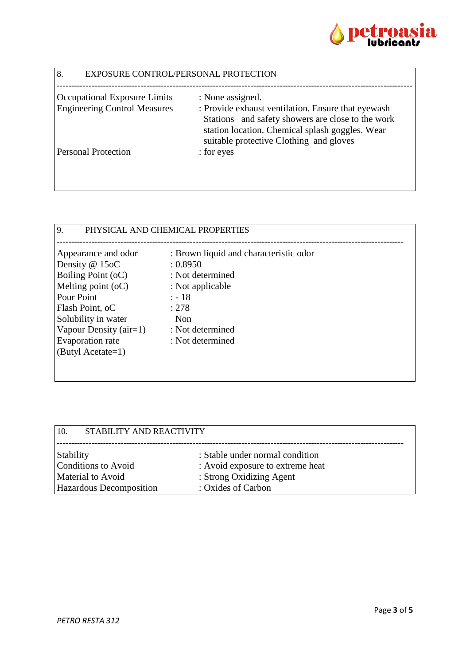

| 8.<br>EXPOSURE CONTROL/PERSONAL PROTECTION |                                                                                                                                                 |
|--------------------------------------------|-------------------------------------------------------------------------------------------------------------------------------------------------|
| <b>Occupational Exposure Limits</b>        | : None assigned.                                                                                                                                |
| <b>Engineering Control Measures</b>        | : Provide exhaust ventilation. Ensure that eyewash                                                                                              |
|                                            | Stations and safety showers are close to the work<br>station location. Chemical splash goggles. Wear<br>suitable protective Clothing and gloves |
| <b>Personal Protection</b>                 | : for eyes                                                                                                                                      |
|                                            |                                                                                                                                                 |

| $\overline{9}$<br>PHYSICAL AND CHEMICAL PROPERTIES                                                                                                                                                                               |                                                                                                                                                               |  |
|----------------------------------------------------------------------------------------------------------------------------------------------------------------------------------------------------------------------------------|---------------------------------------------------------------------------------------------------------------------------------------------------------------|--|
| Appearance and odor<br>Density @ 15oC<br><b>Boiling Point (oC)</b><br>Melting point $(oC)$<br><b>Pour Point</b><br>Flash Point, oC<br>Solubility in water<br>Vapour Density $(air=1)$<br>Evaporation rate<br>$(ButyI Acctate=1)$ | : Brown liquid and characteristic odor<br>: 0.8950<br>: Not determined<br>: Not applicable<br>$: -18$<br>: 278<br>Non<br>: Not determined<br>: Not determined |  |
|                                                                                                                                                                                                                                  |                                                                                                                                                               |  |

| 10.<br>STABILITY AND REACTIVITY         |                                                                     |
|-----------------------------------------|---------------------------------------------------------------------|
| <b>Stability</b><br>Conditions to Avoid | : Stable under normal condition<br>: Avoid exposure to extreme heat |
| Material to Avoid                       | : Strong Oxidizing Agent                                            |
| <b>Hazardous Decomposition</b>          | : Oxides of Carbon                                                  |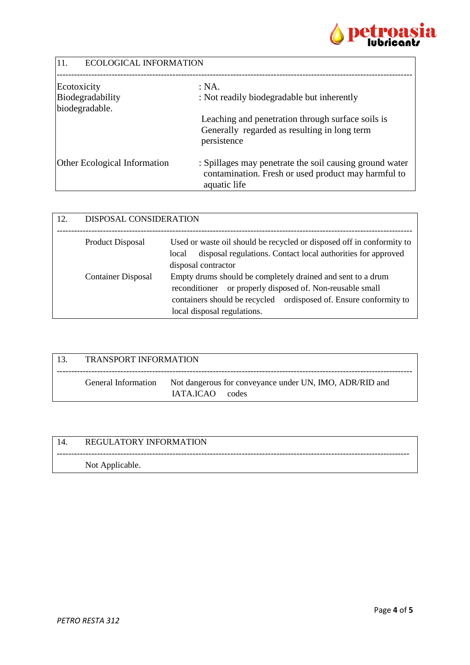

| 11.<br><b>ECOLOGICAL INFORMATION</b> |                                                                                                                                |
|--------------------------------------|--------------------------------------------------------------------------------------------------------------------------------|
| Ecotoxicity                          | : NA.                                                                                                                          |
| Biodegradability                     | : Not readily biodegradable but inherently                                                                                     |
| biodegradable.                       |                                                                                                                                |
|                                      | Leaching and penetration through surface soils is                                                                              |
|                                      | Generally regarded as resulting in long term<br>persistence                                                                    |
| <b>Other Ecological Information</b>  | : Spillages may penetrate the soil causing ground water<br>contamination. Fresh or used product may harmful to<br>aquatic life |

| 12. | DISPOSAL CONSIDERATION    |                                                                                                                                                                                                                                 |
|-----|---------------------------|---------------------------------------------------------------------------------------------------------------------------------------------------------------------------------------------------------------------------------|
|     | <b>Product Disposal</b>   | Used or waste oil should be recycled or disposed off in conformity to<br>disposal regulations. Contact local authorities for approved<br>local<br>disposal contractor                                                           |
|     | <b>Container Disposal</b> | Empty drums should be completely drained and sent to a drum<br>or properly disposed of. Non-reusable small<br>reconditioner<br>containers should be recycled ordisposed of. Ensure conformity to<br>local disposal regulations. |

| -13. | <b>TRANSPORT INFORMATION</b> |                                                                                                |
|------|------------------------------|------------------------------------------------------------------------------------------------|
|      |                              | General Information Not dangerous for conveyance under UN, IMO, ADR/RID and<br>IATA ICAO codes |

| 14. | <b>REGULATORY INFORMATION</b> |
|-----|-------------------------------|
|     | Not Applicable.               |